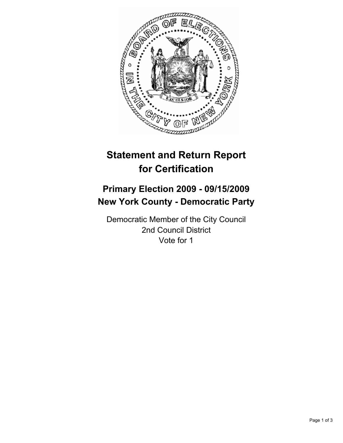

# **Statement and Return Report for Certification**

## **Primary Election 2009 - 09/15/2009 New York County - Democratic Party**

Democratic Member of the City Council 2nd Council District Vote for 1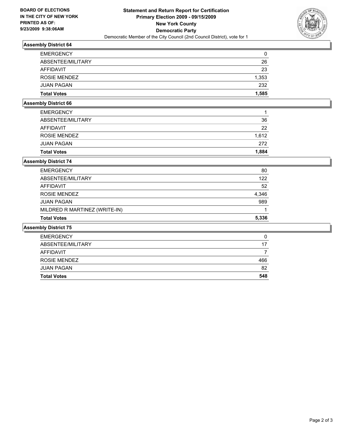

### **Assembly District 64**

| <b>EMERGENCY</b>   | 0     |
|--------------------|-------|
| ABSENTEE/MILITARY  | 26    |
| AFFIDAVIT          | 23    |
| ROSIE MENDEZ       | 1,353 |
| <b>JUAN PAGAN</b>  | 232   |
| <b>Total Votes</b> | 1.585 |

#### **Assembly District 66**

| <b>Total Votes</b> | 1.884 |
|--------------------|-------|
| <b>JUAN PAGAN</b>  | 272   |
| ROSIE MENDEZ       | 1.612 |
| AFFIDAVIT          | 22    |
| ABSENTEE/MILITARY  | 36    |
| <b>EMERGENCY</b>   |       |
|                    |       |

#### **Assembly District 74**

| <b>Total Votes</b>            | 5.336 |
|-------------------------------|-------|
| MILDRED R MARTINEZ (WRITE-IN) |       |
| <b>JUAN PAGAN</b>             | 989   |
| ROSIE MENDEZ                  | 4,346 |
| AFFIDAVIT                     | 52    |
| ABSENTEE/MILITARY             | 122   |
| <b>EMERGENCY</b>              | 80    |

#### **Assembly District 75**

| <b>Total Votes</b> | 548 |
|--------------------|-----|
| <b>JUAN PAGAN</b>  | 82  |
| ROSIE MENDEZ       | 466 |
| AFFIDAVIT          |     |
| ABSENTEE/MILITARY  | 17  |
| <b>EMERGENCY</b>   |     |